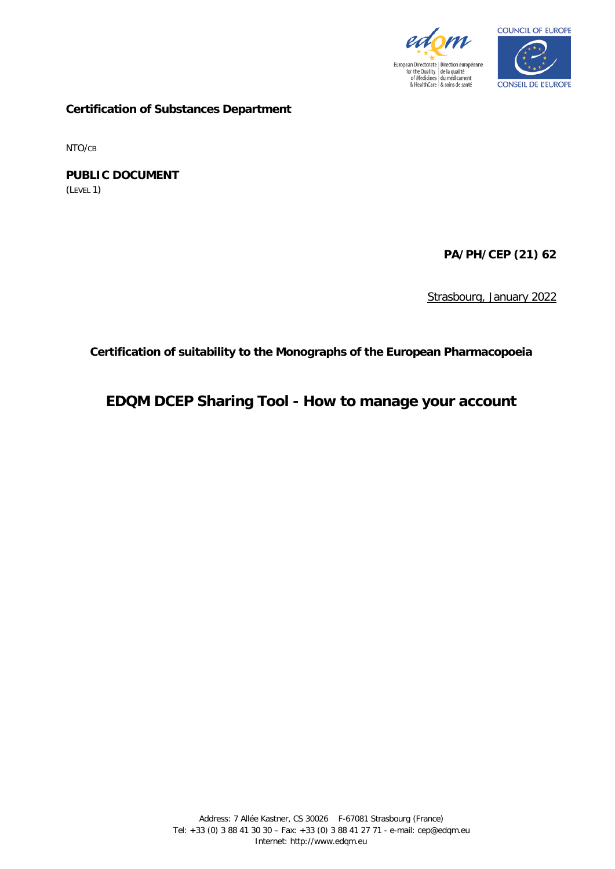



**Certification of Substances Department**

NTO/CB

**PUBLIC DOCUMENT** (LEVEL 1)

**PA/PH/CEP (21) 62**

Strasbourg, January 2022

**Certification of suitability to the Monographs of the European Pharmacopoeia**

**EDQM DCEP Sharing Tool - How to manage your account**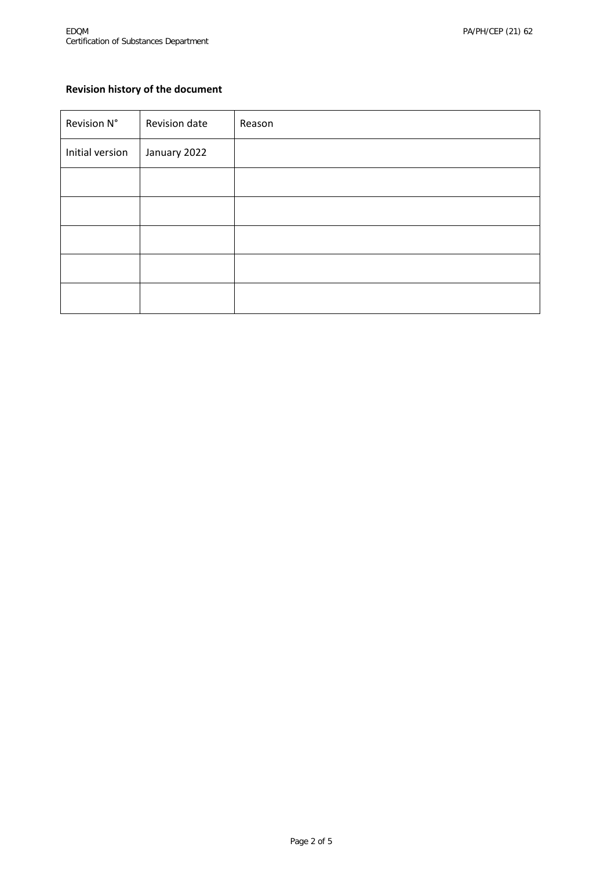# **Revision history of the document**

| Revision N°     | Revision date | Reason |
|-----------------|---------------|--------|
| Initial version | January 2022  |        |
|                 |               |        |
|                 |               |        |
|                 |               |        |
|                 |               |        |
|                 |               |        |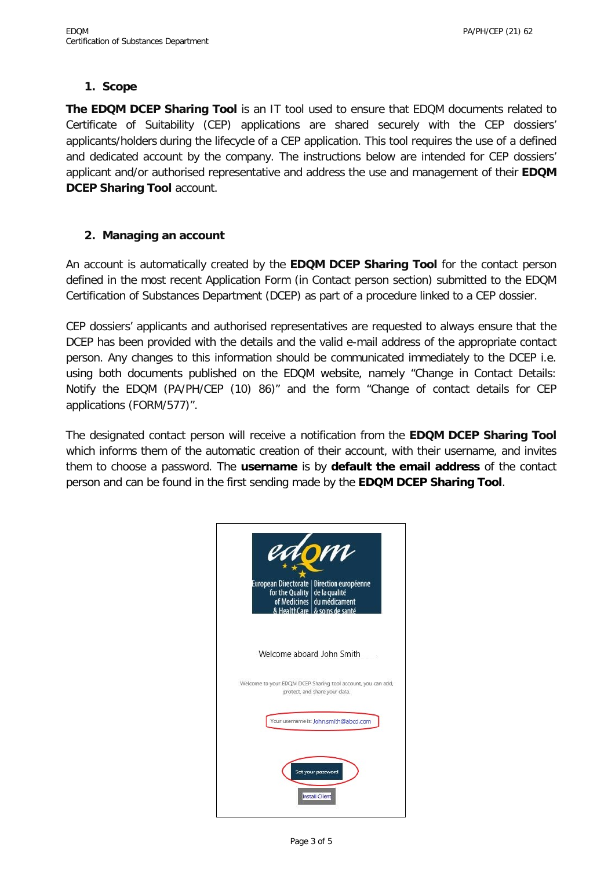### **1. Scope**

**The EDQM DCEP Sharing Tool** is an IT tool used to ensure that EDQM documents related to Certificate of Suitability (CEP) applications are shared securely with the CEP dossiers' applicants/holders during the lifecycle of a CEP application. This tool requires the use of a defined and dedicated account by the company. The instructions below are intended for CEP dossiers' applicant and/or authorised representative and address the use and management of their **EDQM DCEP Sharing Tool** account.

### **2. Managing an account**

An account is automatically created by the **EDQM DCEP Sharing Tool** for the contact person defined in the most recent Application Form (in Contact person section) submitted to the EDQM Certification of Substances Department (DCEP) as part of a procedure linked to a CEP dossier.

CEP dossiers' applicants and authorised representatives are requested to always ensure that the DCEP has been provided with the details and the valid e-mail address of the appropriate contact person. Any changes to this information should be communicated immediately to the DCEP i.e. using both documents published on the EDQM website, namely ["Change in Contact Details:](https://www.edqm.eu/sites/default/files/medias/fichiers/Certification_of_Suitability/Find_information_on/Policy_Documents_Guidelines/changes_in_contact_details_certification_september_2015.pdf)  [Notify the EDQM \(PA/PH/CEP \(10\) 86\)"](https://www.edqm.eu/sites/default/files/medias/fichiers/Certification_of_Suitability/Find_information_on/Policy_Documents_Guidelines/changes_in_contact_details_certification_september_2015.pdf) and the form "Change of contact details for CEP applications (FORM/577)".

The designated contact person will receive a notification from the **EDQM DCEP Sharing Tool** which informs them of the automatic creation of their account, with their username, and invites them to choose a password. The **username** is by **default the email address** of the contact person and can be found in the first sending made by the **EDQM DCEP Sharing Tool**.

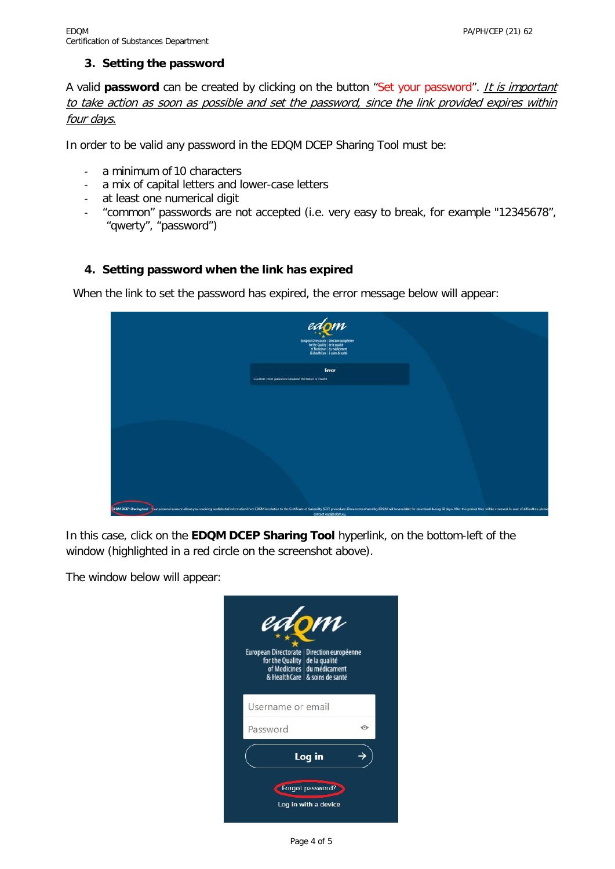#### **3. Setting the password**

A valid **password** can be created by clicking on the button "Set your password". *It is important* to take action as soon as possible and set the password, since the link provided expires within four days.

In order to be valid any password in the EDQM DCEP Sharing Tool must be:

- a minimum of 10 characters
- a mix of capital letters and lower-case letters
- at least one numerical digit
- "common" passwords are not accepted (i.e. very easy to break, for example "12345678", "qwerty", "password")

### **4. Setting password when the link has expired**

When the link to set the password has expired, the error message below will appear:

| edom<br>European Directorate   Eirection européenne<br>  for the Quality   de la qualité<br>  of Medicines   du médicament<br>  & HealthCare   & soins de santé                                                               |  |
|-------------------------------------------------------------------------------------------------------------------------------------------------------------------------------------------------------------------------------|--|
| Error<br>Couldn't reset password because the token is invalid                                                                                                                                                                 |  |
|                                                                                                                                                                                                                               |  |
|                                                                                                                                                                                                                               |  |
|                                                                                                                                                                                                                               |  |
|                                                                                                                                                                                                                               |  |
| SDQM DCEP Sharing tool - Your personal account allows you receiving confidential information from EDQM in relation to the Certificate of Suitability (CEP) procedure. Documents shared by EDQM will be available for download |  |

In this case, click on the **EDQM DCEP Sharing Tool** hyperlink, on the bottom-left of the window (highlighted in a red circle on the screenshot above).

The window below will appear:

| edom<br>European Directorate   Direction européenne<br>for the Quality de la qualité<br>of Medicines du médicament<br>& HealthCare   & soins de santé |   |
|-------------------------------------------------------------------------------------------------------------------------------------------------------|---|
| Username or email                                                                                                                                     |   |
| Password                                                                                                                                              | ⋒ |
| Log in                                                                                                                                                |   |
| Forgot password?<br>Log in with a device                                                                                                              |   |